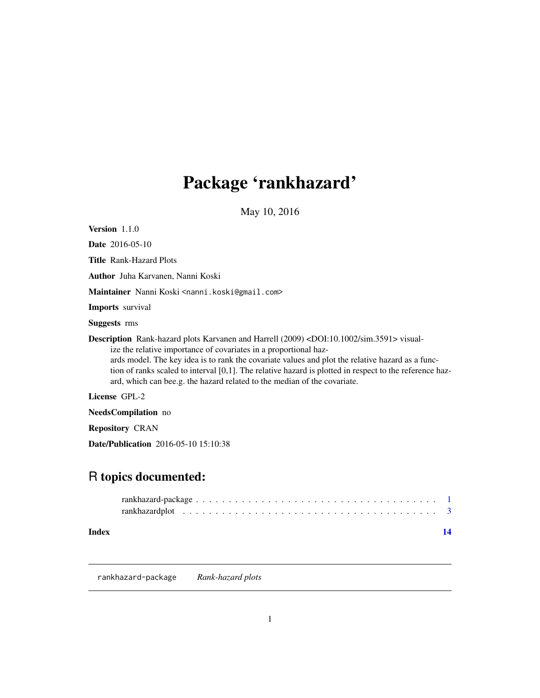## <span id="page-0-0"></span>Package 'rankhazard'

May 10, 2016

<span id="page-0-1"></span>Version 1.1.0 Date 2016-05-10 Title Rank-Hazard Plots Author Juha Karvanen, Nanni Koski Maintainer Nanni Koski <nanni.koski@gmail.com> Imports survival Suggests rms Description Rank-hazard plots Karvanen and Harrell (2009) <DOI:10.1002/sim.3591> visualize the relative importance of covariates in a proportional hazards model. The key idea is to rank the covariate values and plot the relative hazard as a function of ranks scaled to interval [0,1]. The relative hazard is plotted in respect to the reference hazard, which can bee.g. the hazard related to the median of the covariate. License GPL-2 NeedsCompilation no

Repository CRAN

Date/Publication 2016-05-10 15:10:38

## R topics documented:

## **Index** 2008 **[14](#page-13-0)**

rankhazard-package *Rank-hazard plots*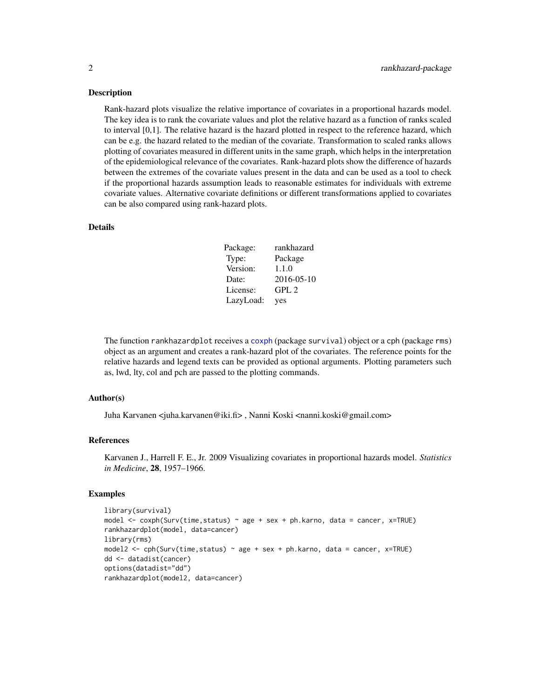## <span id="page-1-0"></span>Description

Rank-hazard plots visualize the relative importance of covariates in a proportional hazards model. The key idea is to rank the covariate values and plot the relative hazard as a function of ranks scaled to interval [0,1]. The relative hazard is the hazard plotted in respect to the reference hazard, which can be e.g. the hazard related to the median of the covariate. Transformation to scaled ranks allows plotting of covariates measured in different units in the same graph, which helps in the interpretation of the epidemiological relevance of the covariates. Rank-hazard plots show the difference of hazards between the extremes of the covariate values present in the data and can be used as a tool to check if the proportional hazards assumption leads to reasonable estimates for individuals with extreme covariate values. Alternative covariate definitions or different transformations applied to covariates can be also compared using rank-hazard plots.

## Details

| Package:  | rankhazard |
|-----------|------------|
| Type:     | Package    |
| Version:  | 1.1.0      |
| Date:     | 2016-05-10 |
| License:  | GPL2       |
| LazyLoad: | yes        |

The function rankhazardplot receives a [coxph](#page-0-1) (package survival) object or a cph (package rms) object as an argument and creates a rank-hazard plot of the covariates. The reference points for the relative hazards and legend texts can be provided as optional arguments. Plotting parameters such as, lwd, lty, col and pch are passed to the plotting commands.

## Author(s)

Juha Karvanen <juha.karvanen@iki.fi> , Nanni Koski <nanni.koski@gmail.com>

## References

Karvanen J., Harrell F. E., Jr. 2009 Visualizing covariates in proportional hazards model. *Statistics in Medicine*, 28, 1957–1966.

## Examples

```
library(survival)
model \leq coxph(Surv(time,status) \sim age + sex + ph.karno, data = cancer, x=TRUE)
rankhazardplot(model, data=cancer)
library(rms)
model2 <- cph(Surv(time,status) ~ age + sex + ph.karno, data = cancer, x=TRUE)
dd <- datadist(cancer)
options(datadist="dd")
rankhazardplot(model2, data=cancer)
```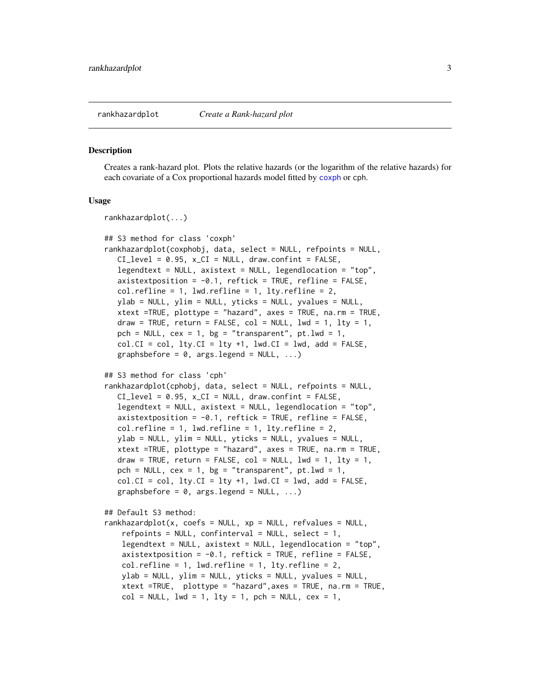<span id="page-2-0"></span>

#### Description

Creates a rank-hazard plot. Plots the relative hazards (or the logarithm of the relative hazards) for each covariate of a Cox proportional hazards model fitted by [coxph](#page-0-1) or cph.

### Usage

```
rankhazardplot(...)
## S3 method for class 'coxph'
rankhazardplot(coxphobj, data, select = NULL, refpoints = NULL,
  CI\_level = 0.95, x_CI = NULL, draw.confint = FALSE,
  legendtext = NULL, axistext = NULL, legendlocation = "top",
  axistextposition = -0.1, reftick = TRUE, refline = FALSE,
  col.refline = 1, lwd.refline = 1, lty.refline = 2,
  ylab = NULL, ylim = NULL, yticks = NULL, yvalues = NULL,
  xtext =TRUE, plottype = "hazard", axes = TRUE, na.rm = TRUE,
  draw = TRUE, return = FALSE, col = NULL, lwd = 1, lty = 1,
  pch = NULL, cex = 1, bg = "transparent", pt.lwd = 1,
  col.CI = col, lty.CI = lty +1, lwd.CI = lwd, add = FALSE,graphsbefore = 0, args.legend = NULL, ...)
## S3 method for class 'cph'
rankhazardplot(cphobj, data, select = NULL, refpoints = NULL,
  CI\_level = 0.95, x_CI = NULL, draw.confint = FALSE,
  legendtext = NULL, axistext = NULL, legendlocation = "top",
  axistextposition = -0.1, reftick = TRUE, refline = FALSE,
  col.refline = 1, lwd.refline = 1, lty.refline = 2,
  ylab = NULL, ylim = NULL, yticks = NULL, yvalues = NULL,
  xtext =TRUE, plottype = "hazard", axes = TRUE, na.rm = TRUE,
  draw = TRUE, return = FALSE, col = NULL, 1wd = 1, 1ty = 1,
  pch = NULL, cex = 1, bg = "transparent", pt.lwd = 1,
  col.CI = col, lty.CI = lty +1, lwd.CI = lwd, add = FALSE,
  graphsbefore = 0, args.legend = NULL, ...)
## Default S3 method:
rankhazardplot(x, coefs = NULL, xp = NULL, refvalues = NULL,refpoints = NULL, confinterval = NULL, select = 1,legendtext = NULL, axistext = NULL, legendlocation = "top",
   axistext position = -0.1, reftick = TRUE, refline = FALSE,
   col.refline = 1, lwd.refline = 1, lty.refline = 2,
   ylab = NULL, ylim = NULL, yticks = NULL, yvalues = NULL,
   xtext =TRUE, plottype = "hazard",axes = TRUE, na.rm = TRUE,
   col = NULL, 1wd = 1, 1ty = 1, pch = NULL, cex = 1,
```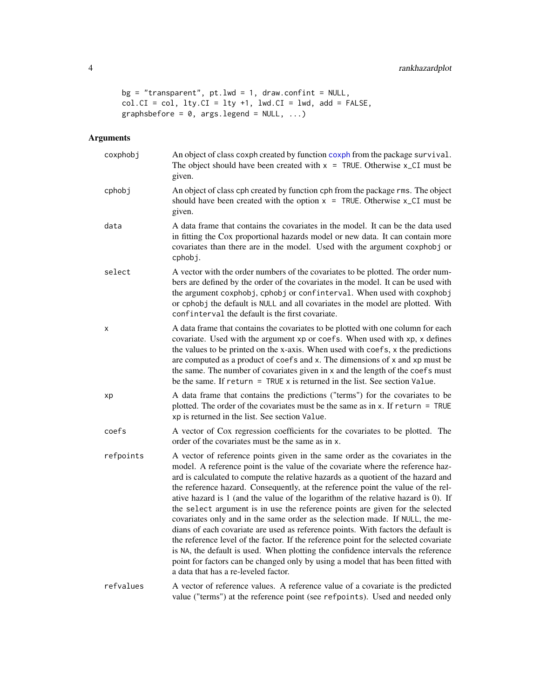```
bg = "transport", pt.lwd = 1, draw.configont = NULL,col.CI = col, lty.CI = lty +1, lwd.CI = lwd, add = FALSE,graphsbefore = 0, args.legend = NULL, ...)
```
## Arguments

| coxphobj  | An object of class coxph created by function coxph from the package survival.<br>The object should have been created with $x = TRUE$ . Otherwise $x$ <sub>-CI</sub> must be<br>given.                                                                                                                                                                                                                                                                                                                                                                                                                                                                                                                                                                                                                                                                                                                                                                                                          |
|-----------|------------------------------------------------------------------------------------------------------------------------------------------------------------------------------------------------------------------------------------------------------------------------------------------------------------------------------------------------------------------------------------------------------------------------------------------------------------------------------------------------------------------------------------------------------------------------------------------------------------------------------------------------------------------------------------------------------------------------------------------------------------------------------------------------------------------------------------------------------------------------------------------------------------------------------------------------------------------------------------------------|
| cphobj    | An object of class cph created by function cph from the package rms. The object<br>should have been created with the option $x = TRUE$ . Otherwise $x$ <sub>-CI</sub> must be<br>given.                                                                                                                                                                                                                                                                                                                                                                                                                                                                                                                                                                                                                                                                                                                                                                                                        |
| data      | A data frame that contains the covariates in the model. It can be the data used<br>in fitting the Cox proportional hazards model or new data. It can contain more<br>covariates than there are in the model. Used with the argument coxphobj or<br>cphobj.                                                                                                                                                                                                                                                                                                                                                                                                                                                                                                                                                                                                                                                                                                                                     |
| select    | A vector with the order numbers of the covariates to be plotted. The order num-<br>bers are defined by the order of the covariates in the model. It can be used with<br>the argument coxphobj, cphobj or confinterval. When used with coxphobj<br>or cphobj the default is NULL and all covariates in the model are plotted. With<br>confinterval the default is the first covariate.                                                                                                                                                                                                                                                                                                                                                                                                                                                                                                                                                                                                          |
| X         | A data frame that contains the covariates to be plotted with one column for each<br>covariate. Used with the argument xp or coefs. When used with xp, x defines<br>the values to be printed on the x-axis. When used with coefs, x the predictions<br>are computed as a product of coefs and x. The dimensions of x and xp must be<br>the same. The number of covariates given in x and the length of the coefs must<br>be the same. If $return = TRUE \times is returned in the list. See section Value.$                                                                                                                                                                                                                                                                                                                                                                                                                                                                                     |
| xp        | A data frame that contains the predictions ("terms") for the covariates to be<br>plotted. The order of the covariates must be the same as in x. If return = TRUE<br>xp is returned in the list. See section Value.                                                                                                                                                                                                                                                                                                                                                                                                                                                                                                                                                                                                                                                                                                                                                                             |
| coefs     | A vector of Cox regression coefficients for the covariates to be plotted. The<br>order of the covariates must be the same as in x.                                                                                                                                                                                                                                                                                                                                                                                                                                                                                                                                                                                                                                                                                                                                                                                                                                                             |
| refpoints | A vector of reference points given in the same order as the covariates in the<br>model. A reference point is the value of the covariate where the reference haz-<br>ard is calculated to compute the relative hazards as a quotient of the hazard and<br>the reference hazard. Consequently, at the reference point the value of the rel-<br>ative hazard is 1 (and the value of the logarithm of the relative hazard is 0). If<br>the select argument is in use the reference points are given for the selected<br>covariates only and in the same order as the selection made. If NULL, the me-<br>dians of each covariate are used as reference points. With factors the default is<br>the reference level of the factor. If the reference point for the selected covariate<br>is NA, the default is used. When plotting the confidence intervals the reference<br>point for factors can be changed only by using a model that has been fitted with<br>a data that has a re-leveled factor. |
| refvalues | A vector of reference values. A reference value of a covariate is the predicted<br>value ("terms") at the reference point (see refpoints). Used and needed only                                                                                                                                                                                                                                                                                                                                                                                                                                                                                                                                                                                                                                                                                                                                                                                                                                |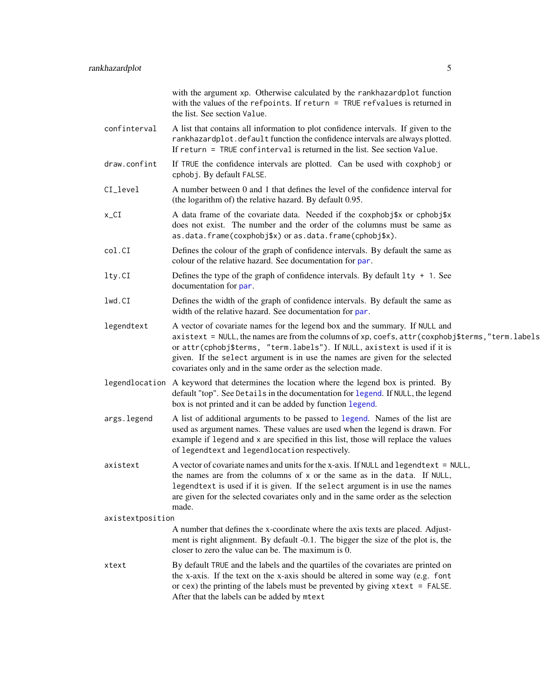<span id="page-4-0"></span>

|                  | with the argument xp. Otherwise calculated by the rankhazardplot function<br>with the values of the refpoints. If return $=$ TRUE refvalues is returned in<br>the list. See section Value.                                                                                                                                                                                                                     |
|------------------|----------------------------------------------------------------------------------------------------------------------------------------------------------------------------------------------------------------------------------------------------------------------------------------------------------------------------------------------------------------------------------------------------------------|
| confinterval     | A list that contains all information to plot confidence intervals. If given to the<br>rankhazardplot.default function the confidence intervals are always plotted.<br>If return = TRUE confinterval is returned in the list. See section Value.                                                                                                                                                                |
| draw.confint     | If TRUE the confidence intervals are plotted. Can be used with coxphobj or<br>cphobj. By default FALSE.                                                                                                                                                                                                                                                                                                        |
| CI_level         | A number between 0 and 1 that defines the level of the confidence interval for<br>(the logarithm of) the relative hazard. By default 0.95.                                                                                                                                                                                                                                                                     |
| $x_CI$           | A data frame of the covariate data. Needed if the coxphobj\$x or cphobj\$x<br>does not exist. The number and the order of the columns must be same as<br>as.data.frame(coxphobj\$x) or as.data.frame(cphobj\$x).                                                                                                                                                                                               |
| col.CI           | Defines the colour of the graph of confidence intervals. By default the same as<br>colour of the relative hazard. See documentation for par.                                                                                                                                                                                                                                                                   |
| lty.CI           | Defines the type of the graph of confidence intervals. By default 1ty + 1. See<br>documentation for par.                                                                                                                                                                                                                                                                                                       |
| lwd.CI           | Defines the width of the graph of confidence intervals. By default the same as<br>width of the relative hazard. See documentation for par.                                                                                                                                                                                                                                                                     |
| legendtext       | A vector of covariate names for the legend box and the summary. If NULL and<br>axistext = NULL, the names are from the columns of xp, coefs, attr (coxphobj\$terms, "term. labels<br>or attr(cphobj\$terms, "term.labels"). If NULL, axistext is used if it is<br>given. If the select argument is in use the names are given for the selected<br>covariates only and in the same order as the selection made. |
|                  | legendlocation A keyword that determines the location where the legend box is printed. By<br>default "top". See Details in the documentation for legend. If NULL, the legend<br>box is not printed and it can be added by function legend.                                                                                                                                                                     |
| args.legend      | A list of additional arguments to be passed to legend. Names of the list are<br>used as argument names. These values are used when the legend is drawn. For<br>example if legend and x are specified in this list, those will replace the values<br>of legendtext and legendlocation respectively.                                                                                                             |
| axistext         | A vector of covariate names and units for the x-axis. If NULL and legendtext = NULL,<br>the names are from the columns of x or the same as in the data. If NULL,<br>legendtext is used if it is given. If the select argument is in use the names<br>are given for the selected covariates only and in the same order as the selection<br>made.                                                                |
| axistextposition |                                                                                                                                                                                                                                                                                                                                                                                                                |
|                  | A number that defines the x-coordinate where the axis texts are placed. Adjust-<br>ment is right alignment. By default -0.1. The bigger the size of the plot is, the<br>closer to zero the value can be. The maximum is 0.                                                                                                                                                                                     |
| xtext            | By default TRUE and the labels and the quartiles of the covariates are printed on<br>the x-axis. If the text on the x-axis should be altered in some way (e.g. font<br>or cex) the printing of the labels must be prevented by giving $xtext{ text} = FALSE$ .<br>After that the labels can be added by mtext                                                                                                  |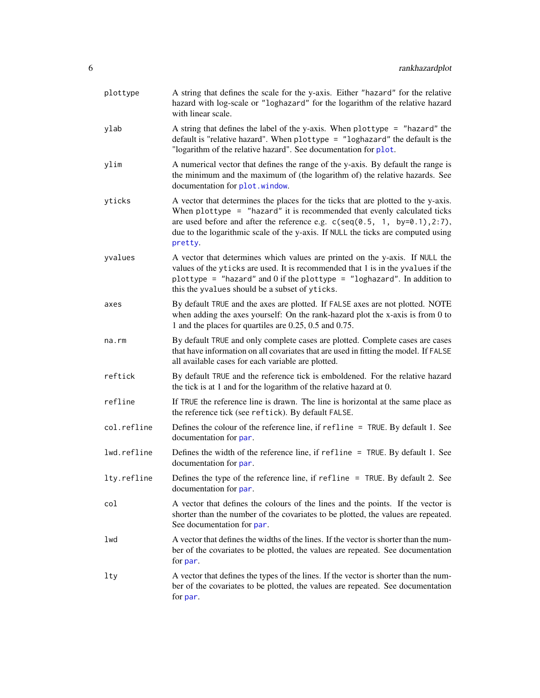<span id="page-5-0"></span>

| plottype    | A string that defines the scale for the y-axis. Either "hazard" for the relative<br>hazard with log-scale or "loghazard" for the logarithm of the relative hazard<br>with linear scale.                                                                                                                                                      |
|-------------|----------------------------------------------------------------------------------------------------------------------------------------------------------------------------------------------------------------------------------------------------------------------------------------------------------------------------------------------|
| ylab        | A string that defines the label of the y-axis. When plottype = "hazard" the<br>default is "relative hazard". When plottype = "loghazard" the default is the<br>"logarithm of the relative hazard". See documentation for plot.                                                                                                               |
| ylim        | A numerical vector that defines the range of the y-axis. By default the range is<br>the minimum and the maximum of (the logarithm of) the relative hazards. See<br>documentation for plot.window.                                                                                                                                            |
| yticks      | A vector that determines the places for the ticks that are plotted to the y-axis.<br>When $plottype = "hazard"$ it is recommended that evenly calculated ticks<br>are used before and after the reference e.g. $c$ (seq(0.5, 1, by=0.1),2:7),<br>due to the logarithmic scale of the y-axis. If NULL the ticks are computed using<br>pretty. |
| yvalues     | A vector that determines which values are printed on the y-axis. If NULL the<br>values of the yticks are used. It is recommended that 1 is in the yvalues if the<br>plottype = "hazard" and $0$ if the plottype = "loghazard". In addition to<br>this the yvalues should be a subset of yticks.                                              |
| axes        | By default TRUE and the axes are plotted. If FALSE axes are not plotted. NOTE<br>when adding the axes yourself: On the rank-hazard plot the x-axis is from 0 to<br>1 and the places for quartiles are 0.25, 0.5 and 0.75.                                                                                                                    |
| na.rm       | By default TRUE and only complete cases are plotted. Complete cases are cases<br>that have information on all covariates that are used in fitting the model. If FALSE<br>all available cases for each variable are plotted.                                                                                                                  |
| reftick     | By default TRUE and the reference tick is emboldened. For the relative hazard<br>the tick is at 1 and for the logarithm of the relative hazard at 0.                                                                                                                                                                                         |
| refline     | If TRUE the reference line is drawn. The line is horizontal at the same place as<br>the reference tick (see reftick). By default FALSE.                                                                                                                                                                                                      |
| col.refline | Defines the colour of the reference line, if $refline = TRUE$ . By default 1. See<br>documentation for par.                                                                                                                                                                                                                                  |
| lwd.refline | Defines the width of the reference line, if refline = TRUE. By default 1. See<br>documentation for par.                                                                                                                                                                                                                                      |
| lty.refline | Defines the type of the reference line, if refline = TRUE. By default 2. See<br>documentation for par.                                                                                                                                                                                                                                       |
| col         | A vector that defines the colours of the lines and the points. If the vector is<br>shorter than the number of the covariates to be plotted, the values are repeated.<br>See documentation for par.                                                                                                                                           |
| lwd         | A vector that defines the widths of the lines. If the vector is shorter than the num-<br>ber of the covariates to be plotted, the values are repeated. See documentation<br>for par.                                                                                                                                                         |
| lty         | A vector that defines the types of the lines. If the vector is shorter than the num-<br>ber of the covariates to be plotted, the values are repeated. See documentation<br>for par.                                                                                                                                                          |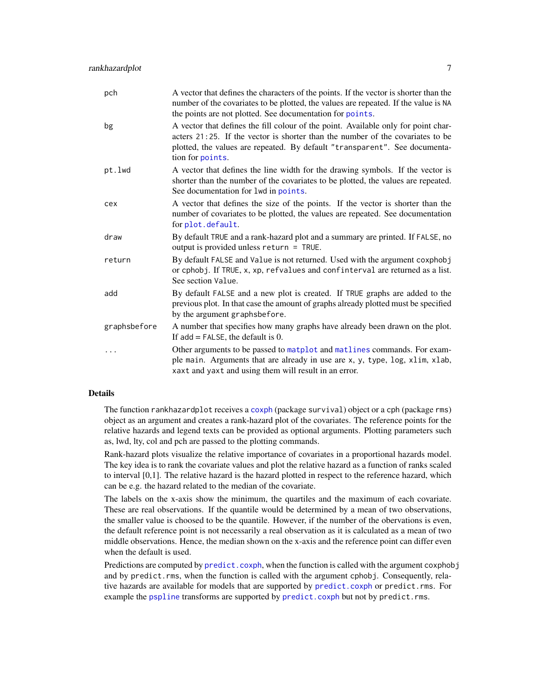<span id="page-6-0"></span>

| pch          | A vector that defines the characters of the points. If the vector is shorter than the<br>number of the covariates to be plotted, the values are repeated. If the value is NA<br>the points are not plotted. See documentation for points.                              |
|--------------|------------------------------------------------------------------------------------------------------------------------------------------------------------------------------------------------------------------------------------------------------------------------|
| bg           | A vector that defines the fill colour of the point. Available only for point char-<br>acters 21:25. If the vector is shorter than the number of the covariates to be<br>plotted, the values are repeated. By default "transparent". See documenta-<br>tion for points. |
| pt.lwd       | A vector that defines the line width for the drawing symbols. If the vector is<br>shorter than the number of the covariates to be plotted, the values are repeated.<br>See documentation for 1wd in points.                                                            |
| cex          | A vector that defines the size of the points. If the vector is shorter than the<br>number of covariates to be plotted, the values are repeated. See documentation<br>for plot.default.                                                                                 |
| draw         | By default TRUE and a rank-hazard plot and a summary are printed. If FALSE, no<br>output is provided unless return = $TRUE$ .                                                                                                                                          |
| return       | By default FALSE and Value is not returned. Used with the argument coxphobj<br>or cphobj. If TRUE, x, xp, refvalues and confinterval are returned as a list.<br>See section Value.                                                                                     |
| add          | By default FALSE and a new plot is created. If TRUE graphs are added to the<br>previous plot. In that case the amount of graphs already plotted must be specified<br>by the argument graphsbefore.                                                                     |
| graphsbefore | A number that specifies how many graphs have already been drawn on the plot.<br>If $add = FALSE$ , the default is 0.                                                                                                                                                   |
| .            | Other arguments to be passed to matplot and matlines commands. For exam-<br>ple main. Arguments that are already in use are x, y, type, log, xlim, xlab,<br>xaxt and yaxt and using them will result in an error.                                                      |

## Details

The function rankhazardplot receives a [coxph](#page-0-1) (package survival) object or a cph (package rms) object as an argument and creates a rank-hazard plot of the covariates. The reference points for the relative hazards and legend texts can be provided as optional arguments. Plotting parameters such as, lwd, lty, col and pch are passed to the plotting commands.

Rank-hazard plots visualize the relative importance of covariates in a proportional hazards model. The key idea is to rank the covariate values and plot the relative hazard as a function of ranks scaled to interval [0,1]. The relative hazard is the hazard plotted in respect to the reference hazard, which can be e.g. the hazard related to the median of the covariate.

The labels on the x-axis show the minimum, the quartiles and the maximum of each covariate. These are real observations. If the quantile would be determined by a mean of two observations, the smaller value is choosed to be the quantile. However, if the number of the obervations is even, the default reference point is not necessarily a real observation as it is calculated as a mean of two middle observations. Hence, the median shown on the x-axis and the reference point can differ even when the default is used.

Predictions are computed by [predict.coxph](#page-0-1), when the function is called with the argument coxphob j and by predict.rms, when the function is called with the argument cphobj. Consequently, relative hazards are available for models that are supported by [predict.coxph](#page-0-1) or predict.rms. For example the [pspline](#page-0-1) transforms are supported by [predict.coxph](#page-0-1) but not by predict.rms.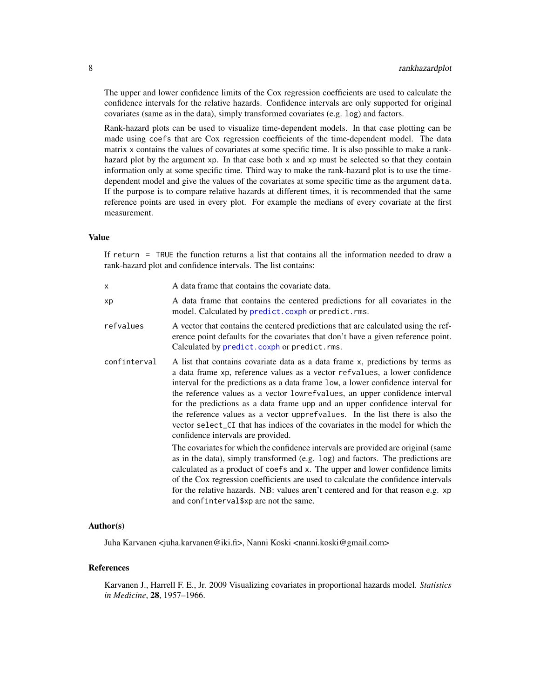The upper and lower confidence limits of the Cox regression coefficients are used to calculate the confidence intervals for the relative hazards. Confidence intervals are only supported for original covariates (same as in the data), simply transformed covariates (e.g. log) and factors.

Rank-hazard plots can be used to visualize time-dependent models. In that case plotting can be made using coefs that are Cox regression coefficients of the time-dependent model. The data matrix x contains the values of covariates at some specific time. It is also possible to make a rankhazard plot by the argument xp. In that case both x and xp must be selected so that they contain information only at some specific time. Third way to make the rank-hazard plot is to use the timedependent model and give the values of the covariates at some specific time as the argument data. If the purpose is to compare relative hazards at different times, it is recommended that the same reference points are used in every plot. For example the medians of every covariate at the first measurement.

## Value

If return = TRUE the function returns a list that contains all the information needed to draw a rank-hazard plot and confidence intervals. The list contains:

| X            | A data frame that contains the covariate data.                                                                                                                                                                                                                                                                                                                                                                                                                                                                                                                                                                                                                                                                                                                                                                                                                                                                                                                                                                                                                                                         |
|--------------|--------------------------------------------------------------------------------------------------------------------------------------------------------------------------------------------------------------------------------------------------------------------------------------------------------------------------------------------------------------------------------------------------------------------------------------------------------------------------------------------------------------------------------------------------------------------------------------------------------------------------------------------------------------------------------------------------------------------------------------------------------------------------------------------------------------------------------------------------------------------------------------------------------------------------------------------------------------------------------------------------------------------------------------------------------------------------------------------------------|
| хp           | A data frame that contains the centered predictions for all covariates in the<br>model. Calculated by predict.coxph or predict.rms.                                                                                                                                                                                                                                                                                                                                                                                                                                                                                                                                                                                                                                                                                                                                                                                                                                                                                                                                                                    |
| refvalues    | A vector that contains the centered predictions that are calculated using the ref-<br>erence point defaults for the covariates that don't have a given reference point.<br>Calculated by predict.coxph or predict.rms.                                                                                                                                                                                                                                                                                                                                                                                                                                                                                                                                                                                                                                                                                                                                                                                                                                                                                 |
| confinterval | A list that contains covariate data as a data frame x, predictions by terms as<br>a data frame xp, reference values as a vector refvalues, a lower confidence<br>interval for the predictions as a data frame low, a lower confidence interval for<br>the reference values as a vector lowrefvalues, an upper confidence interval<br>for the predictions as a data frame upp and an upper confidence interval for<br>the reference values as a vector upprefvalues. In the list there is also the<br>vector select_CI that has indices of the covariates in the model for which the<br>confidence intervals are provided.<br>The covariates for which the confidence intervals are provided are original (same<br>as in the data), simply transformed (e.g. log) and factors. The predictions are<br>calculated as a product of coefs and x. The upper and lower confidence limits<br>of the Cox regression coefficients are used to calculate the confidence intervals<br>for the relative hazards. NB: values aren't centered and for that reason e.g. xp<br>and confinterval \$xp are not the same. |
|              |                                                                                                                                                                                                                                                                                                                                                                                                                                                                                                                                                                                                                                                                                                                                                                                                                                                                                                                                                                                                                                                                                                        |

## Author(s)

Juha Karvanen <juha.karvanen@iki.fi>, Nanni Koski <nanni.koski@gmail.com>

## References

Karvanen J., Harrell F. E., Jr. 2009 Visualizing covariates in proportional hazards model. *Statistics in Medicine*, 28, 1957–1966.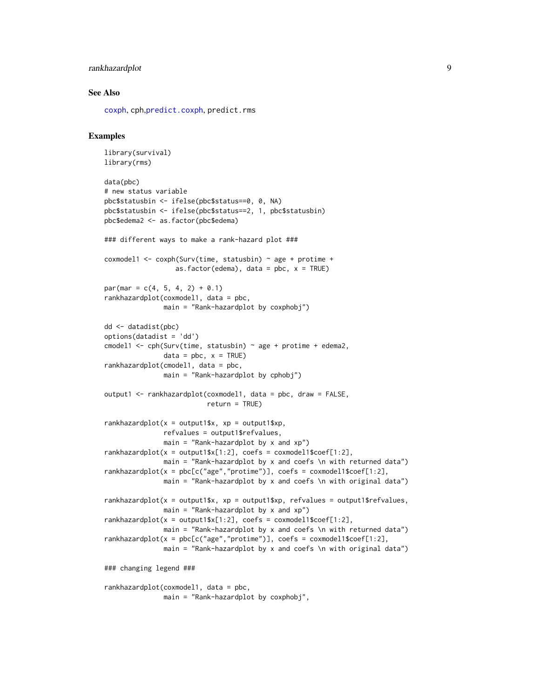## <span id="page-8-0"></span>rankhazardplot 9

## See Also

[coxph](#page-0-1), cph,[predict.coxph](#page-0-1), predict.rms

## Examples

```
library(survival)
library(rms)
data(pbc)
# new status variable
pbc$statusbin <- ifelse(pbc$status==0, 0, NA)
pbc$statusbin <- ifelse(pbc$status==2, 1, pbc$statusbin)
pbc$edema2 <- as.factor(pbc$edema)
### different ways to make a rank-hazard plot ###
coxmodel1 <- coxph(Surv(time, statusbin) ~ age + protime +
                  as.factor(edema), data = pbc, x = TRUE)
par(max = c(4, 5, 4, 2) + 0.1)rankhazardplot(coxmodel1, data = pbc,
              main = "Rank-hazardplot by coxphobj")
dd <- datadist(pbc)
options(datadist = 'dd')
cmodel1 <- cph(Surv(time, statusbin) \sim age + protime + edema2,
              data = pbc, x = TRUE)
rankhazardplot(cmodel1, data = pbc,
              main = "Rank-hazardplot by cphobj")
output1 <- rankhazardplot(coxmodel1, data = pbc, draw = FALSE,
                          return = TRUE)
rankhazardplot(x = output1$x, xp = output1$xp,
               refvalues = output1$refvalues,
              main = "Rank-hazardplot by x and xp")rankhazardplot(x = output1$x[1:2], coefs = coxmodel1$coef[1:2],
              main = "Rank-hazardplot by x and coefs \n with returned data")
rankhazardplot(x = pbc[c("age","protime")], coefs = coxmodel1$coef[1:2],
              main = "Rank-hazardplot by x and coefs \n with original data")
rankhazardplot(x = output1$x, xp = output1$xp, refvalues = output1$refvalues,
              main = "Rank-hazardplot by x and xp")
rankhazardplot(x = output1$x[1:2], coefs = coxmodel1$coef[1:2],
               main = "Rank-hazardplot by x and coefs \n with returned data")
rankhazardplot(x = pbc[c("age","protime")], coefs = coxmodel1$coef[1:2],
              main = "Rank-hazardplot by x and coefs \n with original data")
### changing legend ###
rankhazardplot(coxmodel1, data = pbc,
              main = "Rank-hazardplot by coxphobj",
```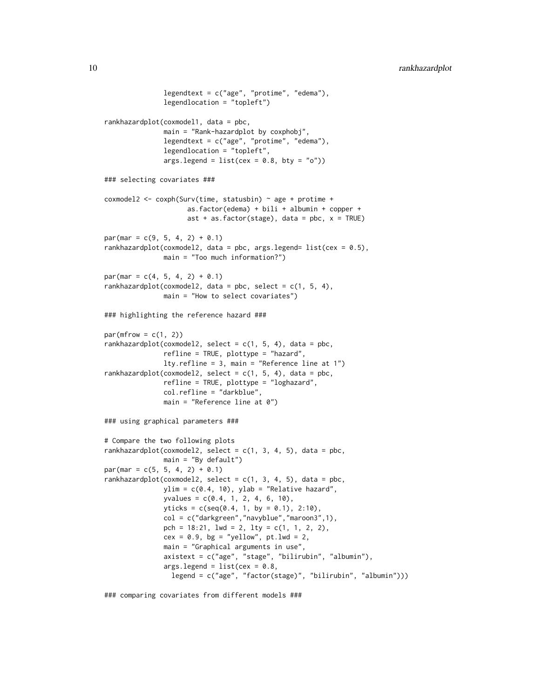```
legendtext = c("age", "protime", "edema"),
               legendlocation = "topleft")
rankhazardplot(coxmodel1, data = pbc,
              main = "Rank-hazardplot by coxphobj",
               legendtext = c("age", "protime", "edema"),
               legendlocation = "topleft",
               args.length = list(cex = 0.8, bty = "o"))### selecting covariates ###
coxmodel2 <- coxph(Surv(time, statusbin) ~ age + protime +
                     as.factor(edema) + bili + albumin + copper +
                     ast + as.factor(stage), data = pbc, x = TRUE)
par(max = c(9, 5, 4, 2) + 0.1)rankhazardplot(coxmodel2, data = pbc, args.legend= list(cex = 0.5),
              main = "Too much information?")
par(max = c(4, 5, 4, 2) + 0.1)rankhazardplot(coxmodel2, data = pbc, select = c(1, 5, 4),
              main = "How to select covariates")
### highlighting the reference hazard ###
par(mfrow = c(1, 2))rankhazardplot(coxmodel2, select = c(1, 5, 4), data = pbc,
              refline = TRUE, plottype = "hazard",
              lty.refline = 3, main = "Reference line at 1")
rankhazardplot(coxmodel2, select = c(1, 5, 4), data = pbc,
              refline = TRUE, plottype = "loghazard",
              col.refline = "darkblue",
              main = "Reference line at 0")
### using graphical parameters ###
# Compare the two following plots
rankhazardplot(coxmodel2, select = c(1, 3, 4, 5), data = pbc,
               main = "By default")
par(max = c(5, 5, 4, 2) + 0.1)rankhazardplot(coxmodel2, select = c(1, 3, 4, 5), data = pbc,
              ylim = c(0.4, 10), ylab = "Relative hazard",
              yvalues = c(0.4, 1, 2, 4, 6, 10),
              yticks = c(seq(0.4, 1, by = 0.1), 2:10),col = c("darkgreen","navyblue","maroon3",1),
               pch = 18:21, lwd = 2, lty = c(1, 1, 2, 2),
               cex = 0.9, bg = "yellow", pt.lwd = 2,main = "Graphical arguments in use",
               axistext = c("age", "stage", "bilirubin", "albumin"),
               args.length = list(cex = 0.8,legend = c("age", "factor(stage)", "bilirubin", "albumin")))
```
### comparing covariates from different models ###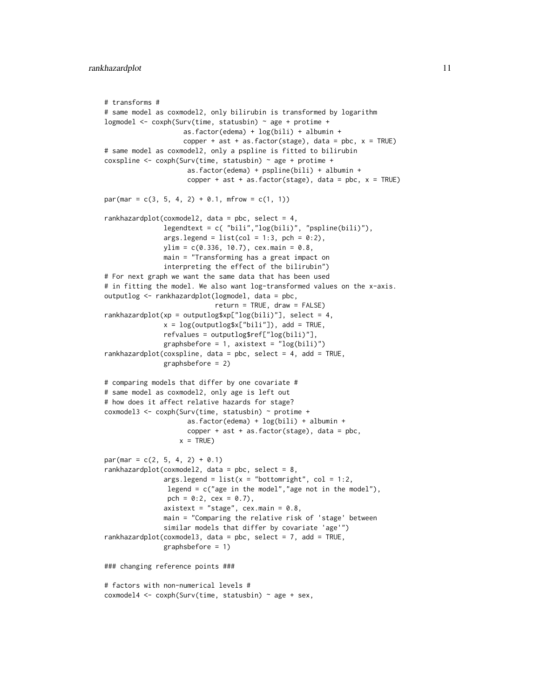```
# transforms #
# same model as coxmodel2, only bilirubin is transformed by logarithm
logmodel \leq coxph(Surv(time, statusbin) \sim age + protime +
                    as.factor(edema) + log(bili) + albumin +
                    copper + ast + as.factor(stage), data = pbc, x = TRUE)
# same model as coxmodel2, only a pspline is fitted to bilirubin
coxspline \leq coxph(Surv(time, statusbin) \sim age + protime +
                     as.factor(edema) + pspline(bili) + albumin +
                     copper + ast + as.factor(stage), data = pbc, x = TRUE)
par(max = c(3, 5, 4, 2) + 0.1, mfrom = c(1, 1))rankhazardplot(coxmodel2, data = pbc, select = 4,
               legendtext = c( "bili","log(bili)", "pspline(bili)"),
               args.length = list(col = 1:3, pch = 0:2),ylim = c(0.336, 10.7), cex.main = 0.8,
               main = "Transforming has a great impact on
               interpreting the effect of the bilirubin")
# For next graph we want the same data that has been used
# in fitting the model. We also want log-transformed values on the x-axis.
outputlog <- rankhazardplot(logmodel, data = pbc,
                            return = TRUE, draw = FALSE)
rankhazardplot(xp = outputlog$xp["log(bili)"], select = 4,
               x = \log(\text{outputlog}s \times [\text{"bili"}]), add = TRUE,
               refvalues = outputlog$ref["log(bili)"],
               graphsbefore = 1, axistext = "log(bili)"rankhazardplot(coxspline, data = pbc, select = 4, add = TRUE,
               graphsbefore = 2)
# comparing models that differ by one covariate #
# same model as coxmodel2, only age is left out
# how does it affect relative hazards for stage?
coxmodel3 <- coxph(Surv(time, statusbin) ~ protime +
                     as.factor(edema) + log(bili) + albumin +
                     copper + ast + as.factor(stage), data = pbc,
                   x = TRUEpar(max = c(2, 5, 4, 2) + 0.1)rankhazardplot(coxmodel2, data = pbc, select = 8,
               args.legend = list(x = "bottomright", col = 1:2,legend = c("age in the model","age not in the model"),
                pch = 0:2, cex = 0.7),
               axistext = "stage", cex.main = 0.8,
               main = "Comparing the relative risk of 'stage' between
               similar models that differ by covariate 'age'")
rankhazardplot(coxmodel3, data = pbc, select = 7, add = TRUE,
               graphsbefore = 1)
### changing reference points ###
# factors with non-numerical levels #
covmodel4 \leq covph(Surv(time, statusbin) \approx age + sex,
```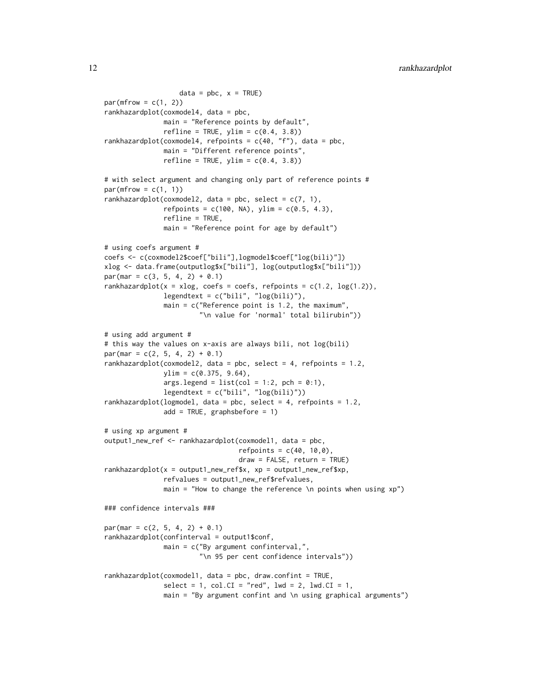```
data = pbc, x = TRUE)
par(mfrow = c(1, 2))rankhazardplot(coxmodel4, data = pbc,
              main = "Reference points by default",
               refline = TRUE, ylim = c(0.4, 3.8)rankhazardplot(coxmodel4, refpoints = c(40, "f"), data = pbc,
              main = "Different reference points",
              refline = TRUE, ylim = c(0.4, 3.8)# with select argument and changing only part of reference points #
par(mfrow = c(1, 1))rankhazardplot(coxmodel2, data = pbc, select = c(7, 1),
               refpoints = c(100, NA), ylim = c(0.5, 4.3),refline = TRUE,
              main = "Reference point for age by default")
# using coefs argument #
coefs <- c(coxmodel2$coef["bili"],logmodel$coef["log(bili)"])
xlog <- data.frame(outputlog$x["bili"], log(outputlog$x["bili"]))
par(max = c(3, 5, 4, 2) + 0.1)rankhazardplot(x = x \log, coefs = coefs, refpoints = c(1.2, \log(1.2)),
               legendtext = c("bili", "log(bili)"),
               main = c("Reference point is 1.2, the maximum",
                        "\n value for 'normal' total bilirubin"))
# using add argument #
# this way the values on x-axis are always bili, not log(bili)
par(max = c(2, 5, 4, 2) + 0.1)rankhazardplot(coxmodel2, data = pbc, select = 4, refpoints = 1.2,
              ylim = c(0.375, 9.64),
               args.length = list(col = 1:2, pch = 0:1),legendtext = c("bili", "log(bili)"))
rankhazardplot(logmodel, data = pbc, select = 4, refpoints = 1.2,
               add = TRUE, graphsbefore = 1)
# using xp argument #
output1_new_ref <- rankhazardplot(coxmodel1, data = pbc,
                                  refpoints = c(40, 10, 0),
                                  draw = FALSE, return = TRUE)
rankhazardplot(x = output1_new_ref$x, xp = output1_new_ref$xp,
               refvalues = output1_new_ref$refvalues,
              main = "How to change the reference \n points when using xp")
### confidence intervals ###
par(max = c(2, 5, 4, 2) + 0.1)rankhazardplot(confinterval = output1$conf,
              main = c("By argument confinterval,",
                        "\n 95 per cent confidence intervals"))
rankhazardplot(coxmodel1, data = pbc, draw.confint = TRUE,
               select = 1, col.CI = "red", lwd = 2, lwd.CI = 1,
               main = "By argument confint and \n using graphical arguments")
```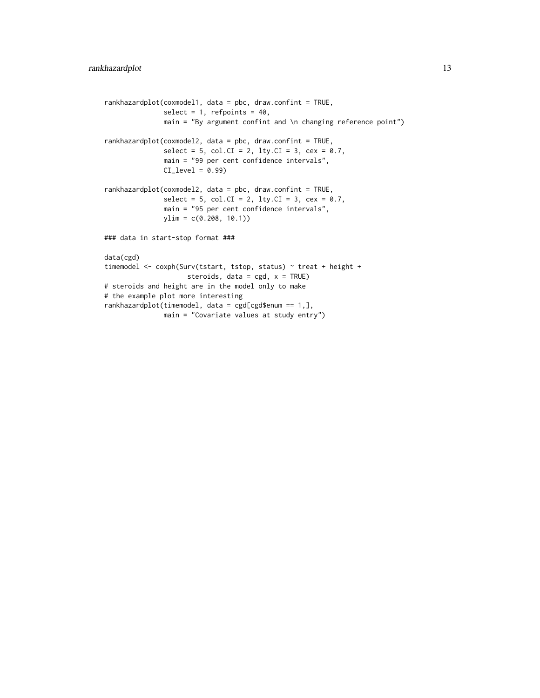```
rankhazardplot(coxmodel1, data = pbc, draw.confint = TRUE,
              select = 1, refpoints = 40,
              main = "By argument confint and \ln changing reference point")
rankhazardplot(coxmodel2, data = pbc, draw.confint = TRUE,
               select = 5, col.CI = 2, lty.CI = 3, cex = 0.7,main = "99 per cent confidence intervals",
              CI\_level = 0.99rankhazardplot(coxmodel2, data = pbc, draw.confint = TRUE,
               select = 5, col.CI = 2, lty.CI = 3, cex = 0.7,main = "95 per cent confidence intervals",
              ylim = c(0.208, 10.1)### data in start-stop format ###
data(cgd)
timemodel <- coxph(Surv(tstart, tstop, status) ~ treat + height +
                     steroids, data = cgd, x = TRUE)
# steroids and height are in the model only to make
# the example plot more interesting
rankhazardplot(timemodel, data = cgd[cgd$enum == 1,],
              main = "Covariate values at study entry")
```